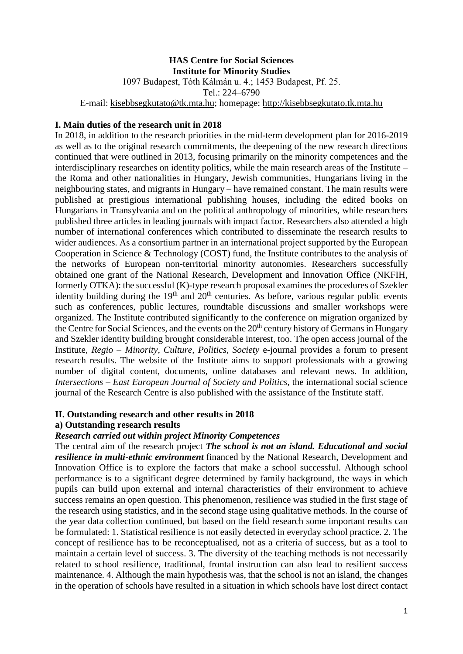## **HAS Centre for Social Sciences Institute for Minority Studies**

1097 Budapest, Tóth Kálmán u. 4.; 1453 Budapest, Pf. 25.

Tel.: 224–6790

E-mail: [kisebbsegkutato@tk.mta.hu;](mailto:kisebbsegkutato@tk.mta.hu) homepage: [http://kisebbsegkutato.tk.mta.hu](http://kisebbsegkutato.tk.mta.hu/)

#### **I. Main duties of the research unit in 2018**

In 2018, in addition to the research priorities in the mid-term development plan for 2016-2019 as well as to the original research commitments, the deepening of the new research directions continued that were outlined in 2013, focusing primarily on the minority competences and the interdisciplinary researches on identity politics, while the main research areas of the Institute – the Roma and other nationalities in Hungary, Jewish communities, Hungarians living in the neighbouring states, and migrants in Hungary – have remained constant. The main results were published at prestigious international publishing houses, including the edited books on Hungarians in Transylvania and on the political anthropology of minorities, while researchers published three articles in leading journals with impact factor. Researchers also attended a high number of international conferences which contributed to disseminate the research results to wider audiences. As a consortium partner in an international project supported by the European Cooperation in Science & Technology (COST) fund, the Institute contributes to the analysis of the networks of European non-territorial minority autonomies. Researchers successfully obtained one grant of the National Research, Development and Innovation Office (NKFIH, formerly OTKA): the successful (K)-type research proposal examines the procedures of Szekler identity building during the  $19<sup>th</sup>$  and  $20<sup>th</sup>$  centuries. As before, various regular public events such as conferences, public lectures, roundtable discussions and smaller workshops were organized. The Institute contributed significantly to the conference on migration organized by the Centre for Social Sciences, and the events on the 20<sup>th</sup> century history of Germans in Hungary and Szekler identity building brought considerable interest, too. The open access journal of the Institute, *Regio – Minority, Culture, Politics, Society* e-journal provides a forum to present research results. The website of the Institute aims to support professionals with a growing number of digital content, documents, online databases and relevant news. In addition, *Intersections – East European Journal of Society and Politics*, the international social science journal of the Research Centre is also published with the assistance of the Institute staff.

# **II. Outstanding research and other results in 2018**

## **a) Outstanding research results**

#### *Research carried out within project Minority Competences*

The central aim of the research project *The school is not an island. Educational and social resilience in multi-ethnic environment* financed by the National Research, Development and Innovation Office is to explore the factors that make a school successful. Although school performance is to a significant degree determined by family background, the ways in which pupils can build upon external and internal characteristics of their environment to achieve success remains an open question. This phenomenon, resilience was studied in the first stage of the research using statistics, and in the second stage using qualitative methods. In the course of the year data collection continued, but based on the field research some important results can be formulated: 1. Statistical resilience is not easily detected in everyday school practice. 2. The concept of resilience has to be reconceptualised, not as a criteria of success, but as a tool to maintain a certain level of success. 3. The diversity of the teaching methods is not necessarily related to school resilience, traditional, frontal instruction can also lead to resilient success maintenance. 4. Although the main hypothesis was, that the school is not an island, the changes in the operation of schools have resulted in a situation in which schools have lost direct contact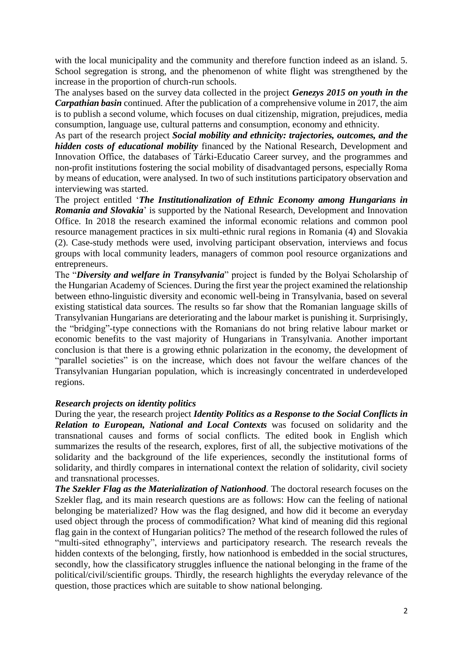with the local municipality and the community and therefore function indeed as an island. 5. School segregation is strong, and the phenomenon of white flight was strengthened by the increase in the proportion of church-run schools.

The analyses based on the survey data collected in the project *Genezys 2015 on youth in the Carpathian basin* continued. After the publication of a comprehensive volume in 2017, the aim is to publish a second volume, which focuses on dual citizenship, migration, prejudices, media consumption, language use, cultural patterns and consumption, economy and ethnicity.

As part of the research project *Social mobility and ethnicity: trajectories, outcomes, and the hidden costs of educational mobility* financed by the National Research, Development and Innovation Office, the databases of Tárki-Educatio Career survey, and the programmes and non-profit institutions fostering the social mobility of disadvantaged persons, especially Roma by means of education, were analysed. In two of such institutions participatory observation and interviewing was started.

The project entitled '*The Institutionalization of Ethnic Economy among Hungarians in Romania and Slovakia*' is supported by the National Research, Development and Innovation Office. In 2018 the research examined the informal economic relations and common pool resource management practices in six multi-ethnic rural regions in Romania (4) and Slovakia (2). Case-study methods were used, involving participant observation, interviews and focus groups with local community leaders, managers of common pool resource organizations and entrepreneurs.

The "*Diversity and welfare in Transylvania*" project is funded by the Bolyai Scholarship of the Hungarian Academy of Sciences. During the first year the project examined the relationship between ethno-linguistic diversity and economic well-being in Transylvania, based on several existing statistical data sources. The results so far show that the Romanian language skills of Transylvanian Hungarians are deteriorating and the labour market is punishing it. Surprisingly, the "bridging"-type connections with the Romanians do not bring relative labour market or economic benefits to the vast majority of Hungarians in Transylvania. Another important conclusion is that there is a growing ethnic polarization in the economy, the development of "parallel societies" is on the increase, which does not favour the welfare chances of the Transylvanian Hungarian population, which is increasingly concentrated in underdeveloped regions.

## *Research projects on identity politics*

During the year, the research project *Identity Politics as a Response to the Social Conflicts in Relation to European, National and Local Contexts* was focused on solidarity and the transnational causes and forms of social conflicts. The edited book in English which summarizes the results of the research, explores, first of all, the subjective motivations of the solidarity and the background of the life experiences, secondly the institutional forms of solidarity, and thirdly compares in international context the relation of solidarity, civil society and transnational processes.

*The Szekler Flag as the Materialization of Nationhood.* The doctoral research focuses on the Szekler flag, and its main research questions are as follows: How can the feeling of national belonging be materialized? How was the flag designed, and how did it become an everyday used object through the process of commodification? What kind of meaning did this regional flag gain in the context of Hungarian politics? The method of the research followed the rules of "multi-sited ethnography", interviews and participatory research. The research reveals the hidden contexts of the belonging, firstly, how nationhood is embedded in the social structures, secondly, how the classificatory struggles influence the national belonging in the frame of the political/civil/scientific groups. Thirdly, the research highlights the everyday relevance of the question, those practices which are suitable to show national belonging.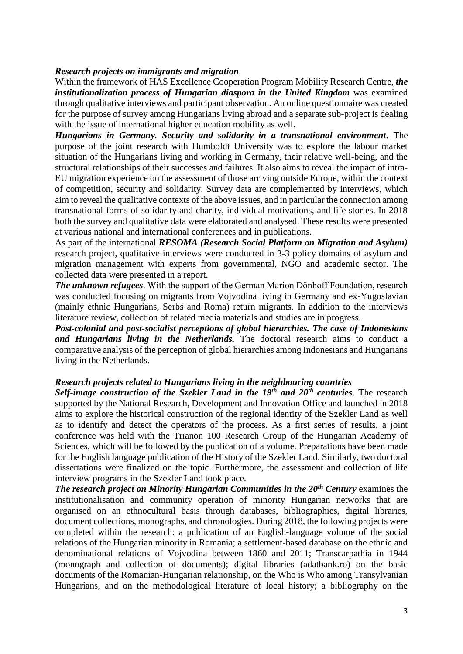#### *Research projects on immigrants and migration*

Within the framework of HAS Excellence Cooperation Program Mobility Research Centre, *the institutionalization process of Hungarian diaspora in the United Kingdom* was examined through qualitative interviews and participant observation. An online questionnaire was created for the purpose of survey among Hungarians living abroad and a separate sub-project is dealing with the issue of international higher education mobility as well.

*Hungarians in Germany. Security and solidarity in a transnational environment.* The purpose of the joint research with Humboldt University was to explore the labour market situation of the Hungarians living and working in Germany, their relative well-being, and the structural relationships of their successes and failures. It also aims to reveal the impact of intra-EU migration experience on the assessment of those arriving outside Europe, within the context of competition, security and solidarity. Survey data are complemented by interviews, which aim to reveal the qualitative contexts of the above issues, and in particular the connection among transnational forms of solidarity and charity, individual motivations, and life stories. In 2018 both the survey and qualitative data were elaborated and analysed. These results were presented at various national and international conferences and in publications.

As part of the international *RESOMA (Research Social Platform on Migration and Asylum)* research project, qualitative interviews were conducted in 3-3 policy domains of asylum and migration management with experts from governmental, NGO and academic sector. The collected data were presented in a report.

*The unknown refugees*. With the support of the German Marion Dönhoff Foundation, research was conducted focusing on migrants from Vojvodina living in Germany and ex-Yugoslavian (mainly ethnic Hungarians, Serbs and Roma) return migrants. In addition to the interviews literature review, collection of related media materials and studies are in progress.

*Post-colonial and post-socialist perceptions of global hierarchies. The case of Indonesians and Hungarians living in the Netherlands.* The doctoral research aims to conduct a comparative analysis of the perception of global hierarchies among Indonesians and Hungarians living in the Netherlands.

### *Research projects related to Hungarians living in the neighbouring countries*

*Self-image construction of the Szekler Land in the 19th and 20th centuries*. The research supported by the National Research, Development and Innovation Office and launched in 2018 aims to explore the historical construction of the regional identity of the Szekler Land as well as to identify and detect the operators of the process. As a first series of results, a joint conference was held with the Trianon 100 Research Group of the Hungarian Academy of Sciences, which will be followed by the publication of a volume. Preparations have been made for the English language publication of the History of the Szekler Land. Similarly, two doctoral dissertations were finalized on the topic. Furthermore, the assessment and collection of life interview programs in the Szekler Land took place.

*The research project on Minority Hungarian Communities in the 20th Century* examines the institutionalisation and community operation of minority Hungarian networks that are organised on an ethnocultural basis through databases, bibliographies, digital libraries, document collections, monographs, and chronologies. During 2018, the following projects were completed within the research: a publication of an English-language volume of the social relations of the Hungarian minority in Romania; a settlement-based database on the ethnic and denominational relations of Vojvodina between 1860 and 2011; Transcarpathia in 1944 (monograph and collection of documents); digital libraries (adatbank.ro) on the basic documents of the Romanian-Hungarian relationship, on the Who is Who among Transylvanian Hungarians, and on the methodological literature of local history; a bibliography on the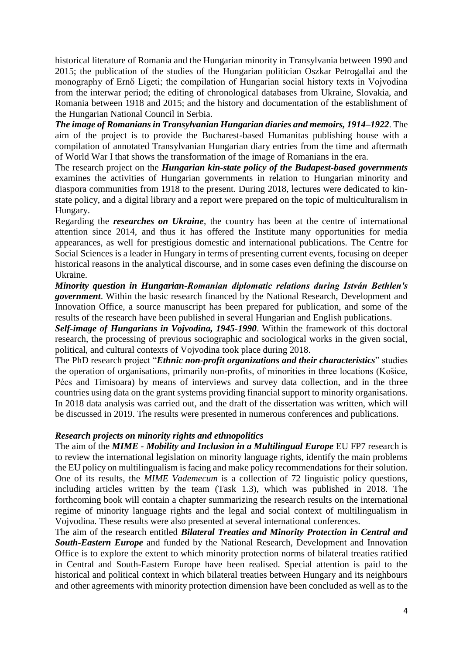historical literature of Romania and the Hungarian minority in Transylvania between 1990 and 2015; the publication of the studies of the Hungarian politician Oszkar Petrogallai and the monography of Ernő Ligeti; the compilation of Hungarian social history texts in Vojvodina from the interwar period; the editing of chronological databases from Ukraine, Slovakia, and Romania between 1918 and 2015; and the history and documentation of the establishment of the Hungarian National Council in Serbia.

*The image of Romanians in Transylvanian Hungarian diaries and memoirs, 1914–1922*. The aim of the project is to provide the Bucharest-based Humanitas publishing house with a compilation of annotated Transylvanian Hungarian diary entries from the time and aftermath of World War I that shows the transformation of the image of Romanians in the era.

The research project on the *Hungarian kin-state policy of the Budapest-based governments* examines the activities of Hungarian governments in relation to Hungarian minority and diaspora communities from 1918 to the present. During 2018, lectures were dedicated to kinstate policy, and a digital library and a report were prepared on the topic of multiculturalism in Hungary.

Regarding the *researches on Ukraine*, the country has been at the centre of international attention since 2014, and thus it has offered the Institute many opportunities for media appearances, as well for prestigious domestic and international publications. The Centre for Social Sciences is a leader in Hungary in terms of presenting current events, focusing on deeper historical reasons in the analytical discourse, and in some cases even defining the discourse on Ukraine.

*Minority question in Hungarian-Romanian diplomatic relations during István Bethlen's government*. Within the basic research financed by the National Research, Development and Innovation Office, a source manuscript has been prepared for publication, and some of the results of the research have been published in several Hungarian and English publications.

*Self-image of Hungarians in Vojvodina, 1945-1990*. Within the framework of this doctoral research, the processing of previous sociographic and sociological works in the given social, political, and cultural contexts of Vojvodina took place during 2018.

The PhD research project "*Ethnic non-profit organizations and their characteristics*" studies the operation of organisations, primarily non-profits, of minorities in three locations (Košice, Pécs and Timisoara) by means of interviews and survey data collection, and in the three countries using data on the grant systems providing financial support to minority organisations. In 2018 data analysis was carried out, and the draft of the dissertation was written, which will be discussed in 2019. The results were presented in numerous conferences and publications.

## *Research projects on minority rights and ethnopolitics*

The aim of the *MIME - Mobility and Inclusion in a Multilingual Europe* EU FP7 research is to review the international legislation on minority language rights, identify the main problems the EU policy on multilingualism is facing and make policy recommendations for their solution. One of its results, the *MIME Vademecum* is a collection of 72 linguistic policy questions, including articles written by the team (Task 1.3), which was published in 2018. The forthcoming book will contain a chapter summarizing the research results on the international regime of minority language rights and the legal and social context of multilingualism in Vojvodina. These results were also presented at several international conferences.

The aim of the research entitled *Bilateral Treaties and Minority Protection in Central and South-Eastern Europe* and funded by the National Research, Development and Innovation Office is to explore the extent to which minority protection norms of bilateral treaties ratified in Central and South-Eastern Europe have been realised. Special attention is paid to the historical and political context in which bilateral treaties between Hungary and its neighbours and other agreements with minority protection dimension have been concluded as well as to the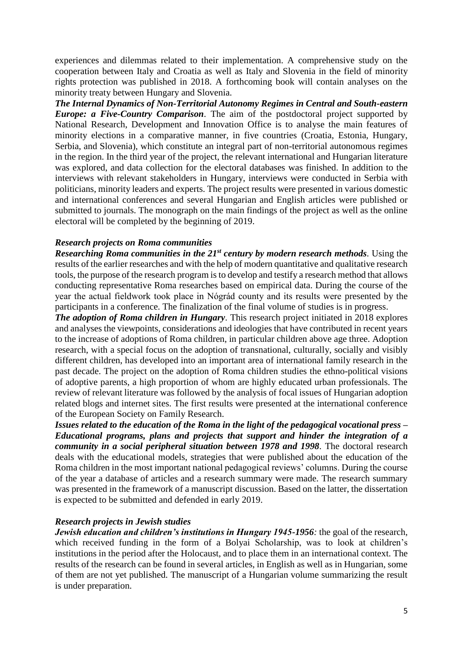experiences and dilemmas related to their implementation. A comprehensive study on the cooperation between Italy and Croatia as well as Italy and Slovenia in the field of minority rights protection was published in 2018. A forthcoming book will contain analyses on the minority treaty between Hungary and Slovenia.

*The Internal Dynamics of Non-Territorial Autonomy Regimes in Central and South-eastern Europe: a Five-Country Comparison*. The aim of the postdoctoral project supported by National Research, Development and Innovation Office is to analyse the main features of minority elections in a comparative manner, in five countries (Croatia, Estonia, Hungary, Serbia, and Slovenia), which constitute an integral part of non-territorial autonomous regimes in the region. In the third year of the project, the relevant international and Hungarian literature was explored, and data collection for the electoral databases was finished. In addition to the interviews with relevant stakeholders in Hungary, interviews were conducted in Serbia with politicians, minority leaders and experts. The project results were presented in various domestic and international conferences and several Hungarian and English articles were published or submitted to journals. The monograph on the main findings of the project as well as the online electoral will be completed by the beginning of 2019.

#### *Research projects on Roma communities*

*Researching Roma communities in the 21st century by modern research methods.* Using the results of the earlier researches and with the help of modern quantitative and qualitative research tools, the purpose of the research program is to develop and testify a research method that allows conducting representative Roma researches based on empirical data. During the course of the year the actual fieldwork took place in Nógrád county and its results were presented by the participants in a conference. The finalization of the final volume of studies is in progress.

*The adoption of Roma children in Hungary*. This research project initiated in 2018 explores and analyses the viewpoints, considerations and ideologies that have contributed in recent years to the increase of adoptions of Roma children, in particular children above age three. Adoption research, with a special focus on the adoption of transnational, culturally, socially and visibly different children, has developed into an important area of international family research in the past decade. The project on the adoption of Roma children studies the ethno-political visions of adoptive parents, a high proportion of whom are highly educated urban professionals. The review of relevant literature was followed by the analysis of focal issues of Hungarian adoption related blogs and internet sites. The first results were presented at the international conference of the European Society on Family Research.

*Issues related to the education of the Roma in the light of the pedagogical vocational press – Educational programs, plans and projects that support and hinder the integration of a community in a social peripheral situation between 1978 and 1998.* The doctoral research deals with the educational models, strategies that were published about the education of the Roma children in the most important national pedagogical reviews' columns. During the course of the year a database of articles and a research summary were made. The research summary was presented in the framework of a manuscript discussion. Based on the latter, the dissertation is expected to be submitted and defended in early 2019.

#### *Research projects in Jewish studies*

*Jewish education and children's institutions in Hungary 1945-1956:* the goal of the research, which received funding in the form of a Bolyai Scholarship, was to look at children's institutions in the period after the Holocaust, and to place them in an international context. The results of the research can be found in several articles, in English as well as in Hungarian, some of them are not yet published. The manuscript of a Hungarian volume summarizing the result is under preparation.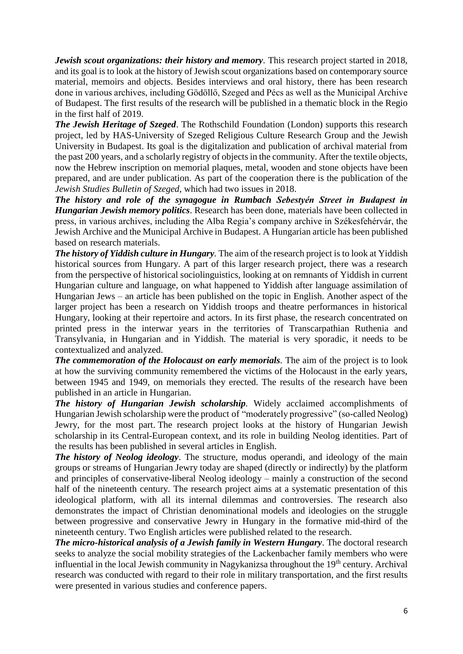*Jewish scout organizations: their history and memory.* This research project started in 2018, and its goal is to look at the history of Jewish scout organizations based on contemporary source material, memoirs and objects. Besides interviews and oral history, there has been research done in various archives, including Gödöllő, Szeged and Pécs as well as the Municipal Archive of Budapest. The first results of the research will be published in a thematic block in the Regio in the first half of 2019.

*The Jewish Heritage of Szeged*. The Rothschild Foundation (London) supports this research project, led by HAS-University of Szeged Religious Culture Research Group and the Jewish University in Budapest. Its goal is the digitalization and publication of archival material from the past 200 years, and a scholarly registry of objects in the community. After the textile objects, now the Hebrew inscription on memorial plaques, metal, wooden and stone objects have been prepared, and are under publication. As part of the cooperation there is the publication of the *Jewish Studies Bulletin of Szeged*, which had two issues in 2018.

*The history and role of the synagogue in Rumbach Sebestyén Street in Budapest in Hungarian Jewish memory politics*. Research has been done, materials have been collected in press, in various archives, including the Alba Regia's company archive in Székesfehérvár, the Jewish Archive and the Municipal Archive in Budapest. A Hungarian article has been published based on research materials.

*The history of Yiddish culture in Hungary.* The aim of the research project is to look at Yiddish historical sources from Hungary. A part of this larger research project, there was a research from the perspective of historical sociolinguistics, looking at on remnants of Yiddish in current Hungarian culture and language, on what happened to Yiddish after language assimilation of Hungarian Jews – an article has been published on the topic in English. Another aspect of the larger project has been a research on Yiddish troops and theatre performances in historical Hungary, looking at their repertoire and actors. In its first phase, the research concentrated on printed press in the interwar years in the territories of Transcarpathian Ruthenia and Transylvania, in Hungarian and in Yiddish. The material is very sporadic, it needs to be contextualized and analyzed.

*The commemoration of the Holocaust on early memorials.* The aim of the project is to look at how the surviving community remembered the victims of the Holocaust in the early years, between 1945 and 1949, on memorials they erected. The results of the research have been published in an article in Hungarian.

*The history of Hungarian Jewish scholarship.* Widely acclaimed accomplishments of Hungarian Jewish scholarship were the product of "moderately progressive" (so-called Neolog) Jewry, for the most part. The research project looks at the history of Hungarian Jewish scholarship in its Central-European context, and its role in building Neolog identities. Part of the results has been published in several articles in English.

*The history of Neolog ideology*. The structure, modus operandi, and ideology of the main groups or streams of Hungarian Jewry today are shaped (directly or indirectly) by the platform and principles of conservative-liberal Neolog ideology – mainly a construction of the second half of the nineteenth century. The research project aims at a systematic presentation of this ideological platform, with all its internal dilemmas and controversies. The research also demonstrates the impact of Christian denominational models and ideologies on the struggle between progressive and conservative Jewry in Hungary in the formative mid-third of the nineteenth century. Two English articles were published related to the research.

*The micro-historical analysis of a Jewish family in Western Hungary*. The doctoral research seeks to analyze the social mobility strategies of the Lackenbacher family members who were influential in the local Jewish community in Nagykanizsa throughout the 19<sup>th</sup> century. Archival research was conducted with regard to their role in military transportation, and the first results were presented in various studies and conference papers.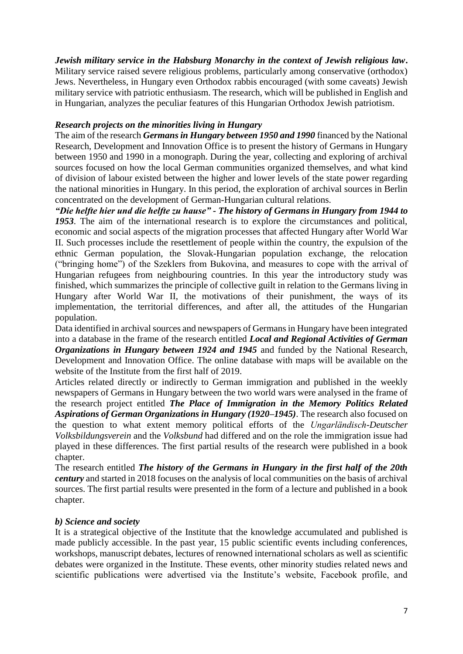*Jewish military service in the Habsburg Monarchy in the context of Jewish religious law***.** Military service raised severe religious problems, particularly among conservative (orthodox) Jews. Nevertheless, in Hungary even Orthodox rabbis encouraged (with some caveats) Jewish military service with patriotic enthusiasm. The research, which will be published in English and in Hungarian, analyzes the peculiar features of this Hungarian Orthodox Jewish patriotism.

#### *Research projects on the minorities living in Hungary*

The aim of the research *Germans in Hungary between 1950 and 1990* financed by the National Research, Development and Innovation Office is to present the history of Germans in Hungary between 1950 and 1990 in a monograph. During the year, collecting and exploring of archival sources focused on how the local German communities organized themselves, and what kind of division of labour existed between the higher and lower levels of the state power regarding the national minorities in Hungary. In this period, the exploration of archival sources in Berlin concentrated on the development of German-Hungarian cultural relations.

*"Die helfte hier und die helfte zu hause" - The history of Germans in Hungary from 1944 to 1953*. The aim of the international research is to explore the circumstances and political, economic and social aspects of the migration processes that affected Hungary after World War II. Such processes include the resettlement of people within the country, the expulsion of the ethnic German population, the Slovak-Hungarian population exchange, the relocation ("bringing home") of the Szeklers from Bukovina, and measures to cope with the arrival of Hungarian refugees from neighbouring countries. In this year the introductory study was finished, which summarizes the principle of collective guilt in relation to the Germans living in Hungary after World War II, the motivations of their punishment, the ways of its implementation, the territorial differences, and after all, the attitudes of the Hungarian population.

Data identified in archival sources and newspapers of Germans in Hungary have been integrated into a database in the frame of the research entitled *Local and Regional Activities of German Organizations in Hungary between 1924 and 1945* and funded by the National Research, Development and Innovation Office. The online database with maps will be available on the website of the Institute from the first half of 2019.

Articles related directly or indirectly to German immigration and published in the weekly newspapers of Germans in Hungary between the two world wars were analysed in the frame of the research project entitled *The Place of Immigration in the Memory Politics Related Aspirations of German Organizations in Hungary (1920–1945)*. The research also focused on the question to what extent memory political efforts of the *Ungarländisch-Deutscher Volksbildungsverein* and the *Volksbund* had differed and on the role the immigration issue had played in these differences. The first partial results of the research were published in a book chapter.

The research entitled *The history of the Germans in Hungary in the first half of the 20th century* and started in 2018 focuses on the analysis of local communities on the basis of archival sources. The first partial results were presented in the form of a lecture and published in a book chapter.

#### *b) Science and society*

It is a strategical objective of the Institute that the knowledge accumulated and published is made publicly accessible. In the past year, 15 public scientific events including conferences, workshops, manuscript debates, lectures of renowned international scholars as well as scientific debates were organized in the Institute. These events, other minority studies related news and scientific publications were advertised via the Institute's website, Facebook profile, and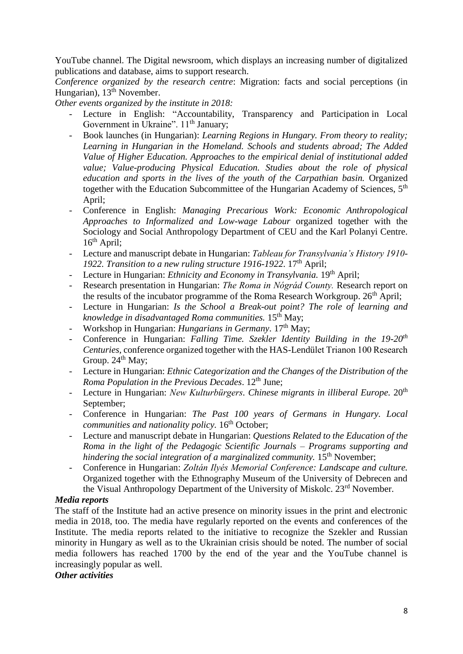YouTube channel. The Digital newsroom, which displays an increasing number of digitalized publications and database, aims to support research.

*Conference organized by the research centre*: Migration: facts and social perceptions (in Hungarian), 13<sup>th</sup> November.

*Other events organized by the institute in 2018:*

- Lecture in English: "Accountability, Transparency and Participation in Local Government in Ukraine". 11<sup>th</sup> January;
- Book launches (in Hungarian): *Learning Regions in Hungary. From theory to reality; Learning in Hungarian in the Homeland. Schools and students abroad; The Added Value of Higher Education. Approaches to the empirical denial of institutional added value; Value-producing Physical Education. Studies about the role of physical education and sports in the lives of the youth of the Carpathian basin.* Organized together with the Education Subcommittee of the Hungarian Academy of Sciences,  $5<sup>th</sup>$ April;
- Conference in English: *Managing Precarious Work: Economic Anthropological Approaches to Informalized and Low-wage Labour* organized together with the Sociology and Social Anthropology Department of CEU and the Karl Polanyi Centre.  $16^{th}$  April:
- Lecture and manuscript debate in Hungarian: *Tableau for Transylvania's History 1910-* 1922. Transition to a new ruling structure 1916-1922. 17<sup>th</sup> April;
- Lecture in Hungarian: *Ethnicity and Economy in Transylvania*. 19<sup>th</sup> April;
- Research presentation in Hungarian: *The Roma in Nógrád County.* Research report on the results of the incubator programme of the Roma Research Workgroup.  $26<sup>th</sup>$  April;
- Lecture in Hungarian: *Is the School a Break-out point? The role of learning and knowledge in disadvantaged Roma communities.* 15th May;
- Workshop in Hungarian: *Hungarians in Germany*. 17<sup>th</sup> May;
- Conference in Hungarian: *Falling Time. Szekler Identity Building in the 19-20th Centuries,* conference organized together with the HAS-Lendület Trianon 100 Research Group.  $24<sup>th</sup>$  May;
- Lecture in Hungarian: *Ethnic Categorization and the Changes of the Distribution of the Roma Population in the Previous Decades.* 12<sup>th</sup> June;
- Lecture in Hungarian: *New Kulturbürgers. Chinese migrants in illiberal Europe.* 20<sup>th</sup> September;
- Conference in Hungarian: *The Past 100 years of Germans in Hungary. Local communities and nationality policy.* 16<sup>th</sup> October;
- Lecture and manuscript debate in Hungarian: *Questions Related to the Education of the Roma in the light of the Pedagogic Scientific Journals – Programs supporting and hindering the social integration of a marginalized community.* 15<sup>th</sup> November;
- Conference in Hungarian: *Zoltán Ilyés Memorial Conference: Landscape and culture.*  Organized together with the Ethnography Museum of the University of Debrecen and the Visual Anthropology Department of the University of Miskolc. 23<sup>rd</sup> November.

## *Media reports*

The staff of the Institute had an active presence on minority issues in the print and electronic media in 2018, too. The media have regularly reported on the events and conferences of the Institute. The media reports related to the initiative to recognize the Szekler and Russian minority in Hungary as well as to the Ukrainian crisis should be noted. The number of social media followers has reached 1700 by the end of the year and the YouTube channel is increasingly popular as well.

## *Other activities*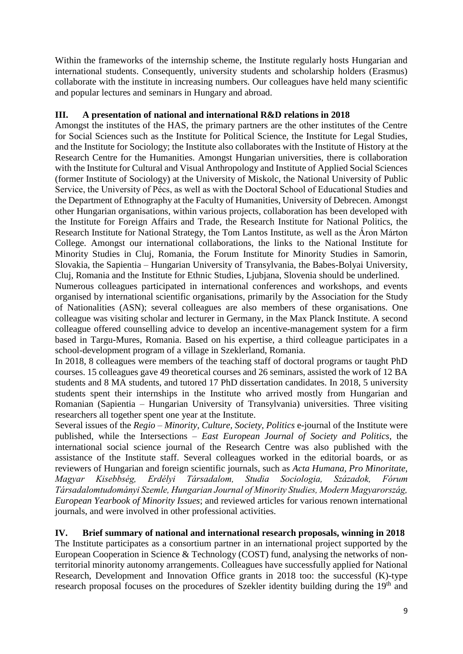Within the frameworks of the internship scheme, the Institute regularly hosts Hungarian and international students. Consequently, university students and scholarship holders (Erasmus) collaborate with the institute in increasing numbers. Our colleagues have held many scientific and popular lectures and seminars in Hungary and abroad.

## **III. A presentation of national and international R&D relations in 2018**

Amongst the institutes of the HAS, the primary partners are the other institutes of the Centre for Social Sciences such as the Institute for Political Science, the Institute for Legal Studies, and the Institute for Sociology; the Institute also collaborates with the Institute of History at the Research Centre for the Humanities. Amongst Hungarian universities, there is collaboration with the Institute for Cultural and Visual Anthropology and Institute of Applied Social Sciences (former Institute of Sociology) at the University of Miskolc, the National University of Public Service, the University of Pécs, as well as with the Doctoral School of Educational Studies and the Department of Ethnography at the Faculty of Humanities, University of Debrecen. Amongst other Hungarian organisations, within various projects, collaboration has been developed with the Institute for Foreign Affairs and Trade, the Research Institute for National Politics, the Research Institute for National Strategy, the Tom Lantos Institute, as well as the Áron Márton College. Amongst our international collaborations, the links to the National Institute for Minority Studies in Cluj, Romania, the Forum Institute for Minority Studies in Samorin, Slovakia, the Sapientia – Hungarian University of Transylvania, the Babes-Bolyai University, Cluj, Romania and the Institute for Ethnic Studies, Ljubjana, Slovenia should be underlined.

Numerous colleagues participated in international conferences and workshops, and events organised by international scientific organisations, primarily by the Association for the Study of Nationalities (ASN); several colleagues are also members of these organisations. One colleague was visiting scholar and lecturer in Germany, in the Max Planck Institute. A second colleague offered counselling advice to develop an incentive-management system for a firm based in Targu-Mures, Romania. Based on his expertise, a third colleague participates in a school-development program of a village in Szeklerland, Romania.

In 2018, 8 colleagues were members of the teaching staff of doctoral programs or taught PhD courses. 15 colleagues gave 49 theoretical courses and 26 seminars, assisted the work of 12 BA students and 8 MA students, and tutored 17 PhD dissertation candidates. In 2018, 5 university students spent their internships in the Institute who arrived mostly from Hungarian and Romanian (Sapientia – Hungarian University of Transylvania) universities. Three visiting researchers all together spent one year at the Institute.

Several issues of the *Regio – Minority, Culture, Society, Politics* e-journal of the Institute were published, while the Intersections *– East European Journal of Society and Politics*, the international social science journal of the Research Centre was also published with the assistance of the Institute staff. Several colleagues worked in the editorial boards, or as reviewers of Hungarian and foreign scientific journals, such as *Acta Humana, Pro Minoritate, Magyar Kisebbség, Erdélyi Társadalom, Studia Sociologia, Századok, Fórum Társadalomtudományi Szemle, Hungarian Journal of Minority Studies, Modern Magyarország, European Yearbook of Minority Issues*; and reviewed articles for various renown international journals, and were involved in other professional activities.

## **IV. Brief summary of national and international research proposals, winning in 2018**

The Institute participates as a consortium partner in an international project supported by the European Cooperation in Science & Technology (COST) fund, analysing the networks of nonterritorial minority autonomy arrangements. Colleagues have successfully applied for National Research, Development and Innovation Office grants in 2018 too: the successful (K)-type research proposal focuses on the procedures of Szekler identity building during the 19<sup>th</sup> and